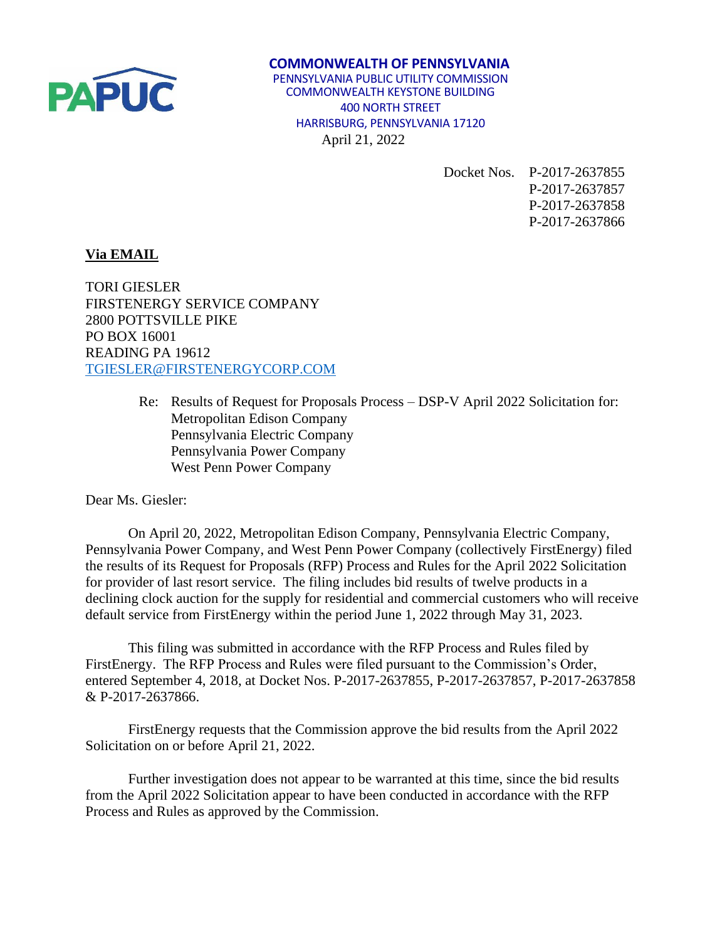

## **COMMONWEALTH OF PENNSYLVANIA** PENNSYLVANIA PUBLIC UTILITY COMMISSION COMMONWEALTH KEYSTONE BUILDING 400 NORTH STREET HARRISBURG, PENNSYLVANIA 17120 April 21, 2022

Docket Nos. P-2017-2637855 P-2017-2637857 P-2017-2637858 P-2017-2637866

## **Via EMAIL**

TORI GIESLER FIRSTENERGY SERVICE COMPANY 2800 POTTSVILLE PIKE PO BOX 16001 READING PA 19612 [TGIESLER@FIRSTENERGYCORP.COM](mailto:TGIESLER@FIRSTENERGYCORP.COM)

> Re: Results of Request for Proposals Process – DSP-V April 2022 Solicitation for: Metropolitan Edison Company Pennsylvania Electric Company Pennsylvania Power Company West Penn Power Company

Dear Ms. Giesler:

On April 20, 2022, Metropolitan Edison Company, Pennsylvania Electric Company, Pennsylvania Power Company, and West Penn Power Company (collectively FirstEnergy) filed the results of its Request for Proposals (RFP) Process and Rules for the April 2022 Solicitation for provider of last resort service. The filing includes bid results of twelve products in a declining clock auction for the supply for residential and commercial customers who will receive default service from FirstEnergy within the period June 1, 2022 through May 31, 2023.

This filing was submitted in accordance with the RFP Process and Rules filed by FirstEnergy. The RFP Process and Rules were filed pursuant to the Commission's Order, entered September 4, 2018, at Docket Nos. P-2017-2637855, P-2017-2637857, P-2017-2637858 & P-2017-2637866.

FirstEnergy requests that the Commission approve the bid results from the April 2022 Solicitation on or before April 21, 2022.

Further investigation does not appear to be warranted at this time, since the bid results from the April 2022 Solicitation appear to have been conducted in accordance with the RFP Process and Rules as approved by the Commission.